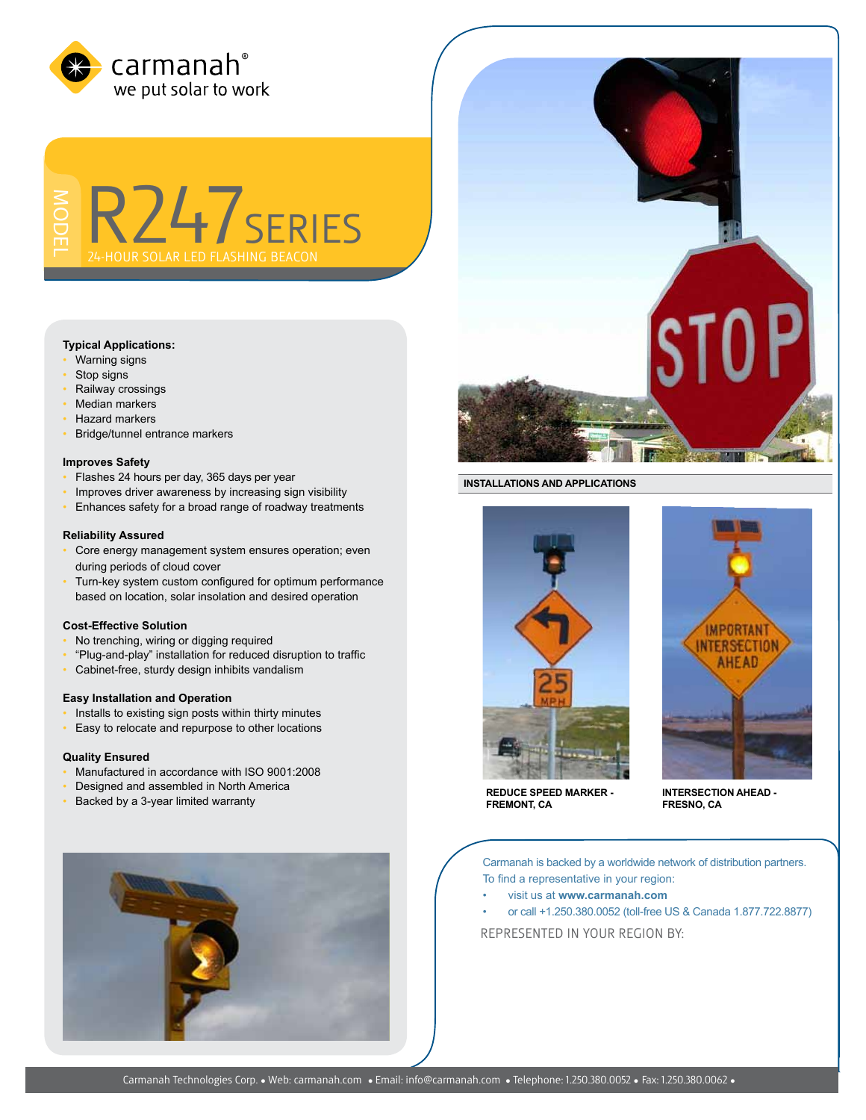

R247series **HOUR SOLAR LED FLASHING BEACO** 

## **Typical Applications:**

- Warning signs
- Stop signs
- Railway crossings
- Median markers
- Hazard markers
- Bridge/tunnel entrance markers

#### **Improves Safety**

- Flashes 24 hours per day, 365 days per year
- Improves driver awareness by increasing sign visibility
- Enhances safety for a broad range of roadway treatments

## **Reliability Assured**

- Core energy management system ensures operation; even during periods of cloud cover
- Turn-key system custom configured for optimum performance based on location, solar insolation and desired operation

#### **Cost-Effective Solution**

- No trenching, wiring or digging required
- "Plug-and-play" installation for reduced disruption to traffic
- Cabinet-free, sturdy design inhibits vandalism

## **Easy Installation and Operation**

- Installs to existing sign posts within thirty minutes
- Easy to relocate and repurpose to other locations

#### **Quality Ensured**

- Manufactured in accordance with ISO 9001:2008
- Designed and assembled in North America
- Backed by a 3-year limited warranty



#### **INSTALLATIONS AND APPLICATIONS**



**IMPORTANT** NTERSECTION **AHEAD** 

**REDUCE SPEED MARKER - FREMONT, CA**

**INTERSECTION AHEAD - FRESNO, CA**

Carmanah is backed by a worldwide network of distribution partners. To find a representative in your region:

- visit us at **www.carmanah.com**
- or call +1.250.380.0052 (toll-free US & Canada 1.877.722.8877)

REPRESENTED in your region BY: